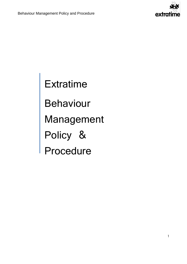

**Extratime** Behaviour Management Policy & Procedure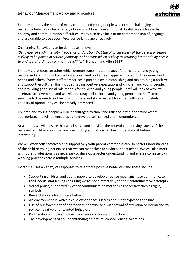

Extratime meets the needs of many children and young people who exhibit challenging and restrictive behaviours for a variety of reasons. Many have additional disabilities such as autism, epilepsy and communication difficulties. Many also have little or no comprehension of language and are unable to use speech/expressive language effectively.

# Challenging Behaviour can be defined as follows;

'*Behaviour of such intensity, frequency or duration that the physical safety of the person or others is likely to be placed in serious jeopardy, or behavior which is likely to seriously limit or delay access to and use of ordinary community facilities*' (Blunden and Allen 1987)

Extratime promotes an ethos which demonstrates mutual respect for all children and young people and staff. All staff will adopt a consistent and agreed approach based on the understanding or self and others. Every staff member has a part to play in establishing and maintaining a positive and supportive culture. This includes having positive expectations of children and young people, and providing good social role models for children and young people. Staff will look at ways to celebrate achievements and we will encourage all children and young people and staff to be sensitive to the needs and feelings of others and show respect for other cultures and beliefs. Equality of opportunity will be actively promoted.

Children and young people will be encouraged to think and talk about their behavior where appropriate, and will be encouraged to develop self-control and independence.

At all times we will ensure that we observe and consider the potential underlying causes of the behavior a child or young person is exhibiting so that we can best understand it before intervening.

We will work collaboratively and supportively with parent carers to establish better understanding of the child or young person so that we can meet their behavior support needs. We will also meet with other professionals as necessary to develop a better understanding and ensure consistency in working practices across multiple services.

Extratime uses a variety of responses to re enforce positive behaviour and these include;

- Supporting children and young people to develop effective mechanisms to communicate their needs, and feelings ensuring we respond effectively to their communicative attempts
- Verbal praise, supported by other communication methods as necessary such as signs, symbols.
- Reward stickers for positive behavior
- An environment in which a child experiences success and is not exposed to failure
- Use of reinforcement of appropriate behavior and withdrawal of attention or interaction to reduce negative or unwanted behaviors
- Partnership with parent carers to ensure continuity of practice
- The development of an understanding of 'natural consequences' to actions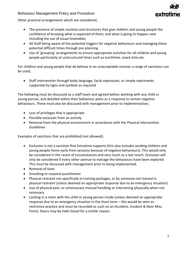# extro

# Behaviour Management Policy and Procedure

Other practical arrangements which are considered;

- The presence of simple routines and structures that give children and young people the confidence of knowing what is expected of them, and what is going to happen next including the use of visual timetables
- All Staff being aware of the potential triggers for negative behaviours and managing these potential difficult times through pre planning
- Use of 'grouping' arrangements to ensure appropriate activities for all children and young people particularly at unstructured times such as lunchtime, snack time etc.

For children and young people that do behave in an unacceptable manner a range of sanctions can be used;

 Staff intervention through body language, facial expression, or simple reprimands supported by signs and symbols as required

The following must be discussed as a staff team and agreed before working with any child or young person, and detailed within their behaviour plans as a response to certain negative behaviours. These must also be discussed with management prior to implementation;

- Loss of privileges that is appropriate
- Possible exclusion from an activity
- Removal from the physical environment in accordance with the Physical Intervention Guidelines

Examples of sanctions that are prohibited (not allowed);

- Exclusion is not a sanction that Extratime supports (this also includes sending children and young people home early from sessions because of negative behaviours). This would only be considered in the rarest of circumstances and very much as a last resort. Exclusion will only be considered if every other avenue to manage the behaviours have been explored. This must be discussed with management prior to being implemented.
- Removal of food
- Smacking or corporal punishment
- Physical restraint not specifically in training packages, or by someone not trained in physical restraint (unless deemed an appropriate response due to an emergency situation)
- Use of physical pain, or unnecessary manual handling or intervening physically when not necessary
- Locking in a room with the child or young person inside (unless deemed an appropriate response due to an emergency situation in the short term – this would be seen as restrictive practice and must be recorded as such on an Accident, Incident & Near Miss Form). Doors may be held closed for a similar reason.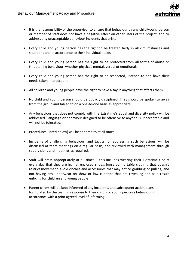

- It is the responsibility of the supervisor to ensure that behaviour by any child/young person or member of staff does not have a negative effect on other users of the project, and to address any unacceptable behaviour incidents that arise.
- Every child and young person has the right to be treated fairly in all circumstances and situations and in accordance to their individual needs.
- Every child and young person has the right to be protected from all forms of abuse or threatening behaviour, whether physical, mental, verbal or emotional.
- Every child and young person has the right to be respected, listened to and have their needs taken into account.
- All children and young people have the right to have a say in anything that affects them.
- No child and young person should be publicly disciplined. They should be spoken to away from the group and talked to on a one-to-one basis as appropriate.
- Any behaviour that does not comply with the Extratime's equal and diversity policy will be addressed. Language or behaviour designed to be offensive to anyone is unacceptable and will not be tolerated.
- Procedures (listed below) will be adhered to at all times
- Incidents of challenging behaviour, and tactics for addressing such behaviour, will be discussed at team meetings on a regular basis, and reviewed with management through supervisions and meetings as required.
- Staff will dress appropriately at all times this includes wearing their Extratime t Shirt every day that they are in, flat enclosed shoes, loose comfortable clothing that doesn't restrict movement, avoid clothes and accessories that may entice grabbing or pulling, and not having any underwear on show or low cut tops that are revealing and as a result enticing for children and young people
- Parent carers will be kept informed of any incidents, and subsequent action plans formulated by the team in response to their child's or young person's behaviour in accordance with a prior agreed level of informing.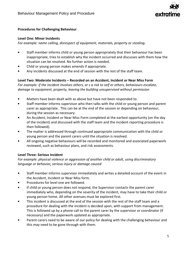

# **Procedures for Challenging Behaviour**

#### **Level One: Minor Incidents**

*For example: name calling, disrespect of equipment, materials, property or stealing.*

- Staff member informs child or young person appropriately that their behaviour has been inappropriate, tries to establish why the incident occurred and discusses with them how the situation can be resolved. No further action is needed.
- Child or young person makes amends if appropriate.
- Any incidents discussed at the end of session with the rest of the staff team.

# **Level Two: Moderate Incidents – Recorded on an Accident, Incident or Near Miss Form**

*For example: if the incident involves others, or s a risk to self or others, behaviours escalate, damage to equipment, property, leaving the building unsupervised without permission*

- Matters have been dealt with as above but have not been responded to.
- Staff member informs supervisor who then talks with the child or young person and parent carer as appropriate. This can be at the end of the session or depending on behaviour, during the session as necessary.
- An Accident, Incident or Near Miss Form completed at the earliest opportunity (on the day of the incident) and discussed with the staff team and the incident reporting procedure is then followed).
- The matter is addressed through continued appropriate communication with the child or young person and the parent carers until the situation is resolved.
- All ongoing negative behaviours will be recorded and monitored and associated paperwork reviewed, such as behaviour plans, and risk assessments.

# **Level Three: Serious Incident**

*For example: physical violence or aggression of another child or adult, using discriminatory language or behavior, serious injury or damage caused*

- Staff member informs supervisor immediately and writes a detailed account of the event in the Accident, Incident or Near Miss form.
- Procedures for level one are followed.
- If child or young person does not respond, the Supervisor contacts the parent carer immediately who, depending on the severity of the incident, may have to take their child or young person home. All other avenues must be explored first.
- This incident is discussed at the end of the session with the rest of the staff team and a procedure for dealing with the incident is decided upon, with support from management. This is followed up by a phone call to the parent carer by the supervisor or coordinator (if necessary) and the paperwork updated as appropriate.
- Parent carers need to be aware of our policy for dealing with the challenging behaviour and this may need to be gone through with them.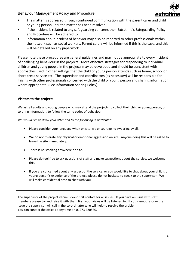Behaviour Management Policy and Procedure



- The matter is addressed through continued communication with the parent carer and child or young person until the matter has been resolved.
- If the incident is related to any safeguarding concerns then Extratime's Safeguarding Policy and Procedure will be adhered to.
- Information about incident of behavior may also be reported to other professionals within the network such as social workers. Parent carers will be informed if this is the case, and this will be detailed on any paperwork.

Please note these procedures are general guidelines and may not be appropriate to every incident of challenging behaviour in the projects. More effective strategies for responding to individual children and young people in the projects may be developed and should be consistent with approaches used in other settings that the child or young person attends such as home, school or short break service etc. The supervisor and coordinators (as necessary) will be responsible for liaising with other professionals concerned with the child or young person and sharing information where appropriate. (See Information Sharing Policy)

# **Visitors to the projects**

We ask all adults and young people who may attend the projects to collect their child or young person, or to bring information, to follow the same codes of behaviour.

*We would like to draw your attention to the following in particular:*

- Please consider your language when on site, we encourage no swearing by all.
- We do not tolerate any physical or emotional aggression on site. Anyone doing this will be asked to leave the site immediately.
- There is no smoking anywhere on site.
- Please do feel free to ask questions of staff and make suggestions about the service, we welcome this.
- If you are concerned about any aspect of the service, or you would like to chat about your child's or young person's experience of the project, please do not hesitate to speak to the supervisor. We will make confidential time to chat with you.

The supervisor of the project venue is your first contact for all issues. If you have an issue with staff members please try and raise it with them first, your views will be listened to. If you cannot resolve the issue the supervisor will call in the co-ordinator who will help to resolve the problem. You can contact the office at any time on 01273 420580.